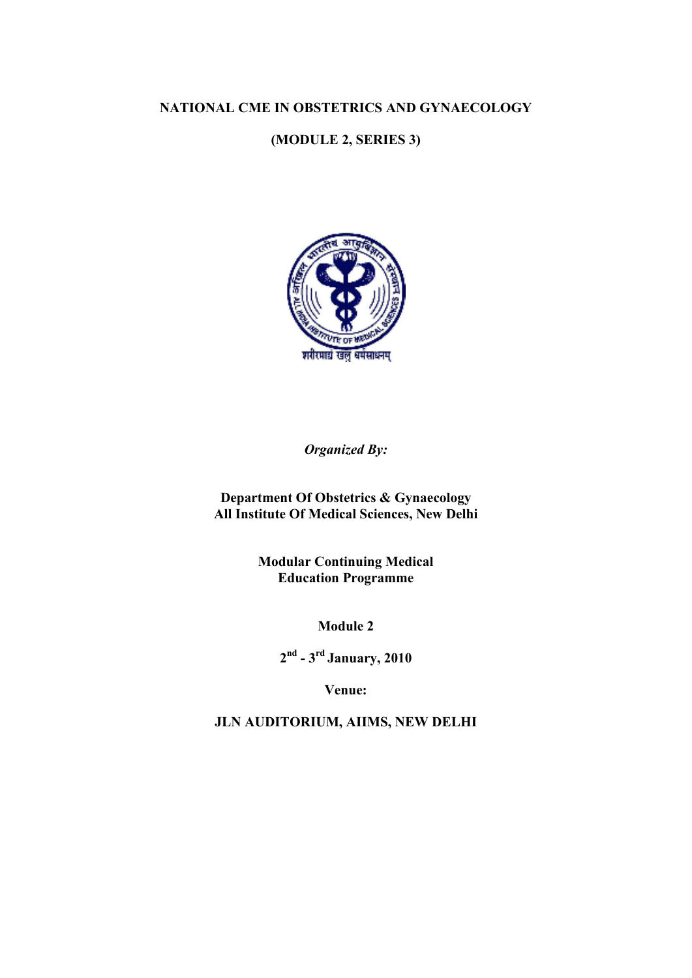#### <code>NATIONAL CME IN OBSTETRICS AND GYNAECOLOGY</code>

# **(MODULE 2, SERIES 3)**



*Organized By:* 

**Department Of Obstetrics & Gynaecology All Institute Of Medical Sciences, New Delhi** 

> **Modular Continuing Medical Education Programme**

> > **Module 2**

**2 nd - 3rd January, 2010** 

**Venue:** 

**JLN AUDITORIUM, AIIMS, NEW DELHI**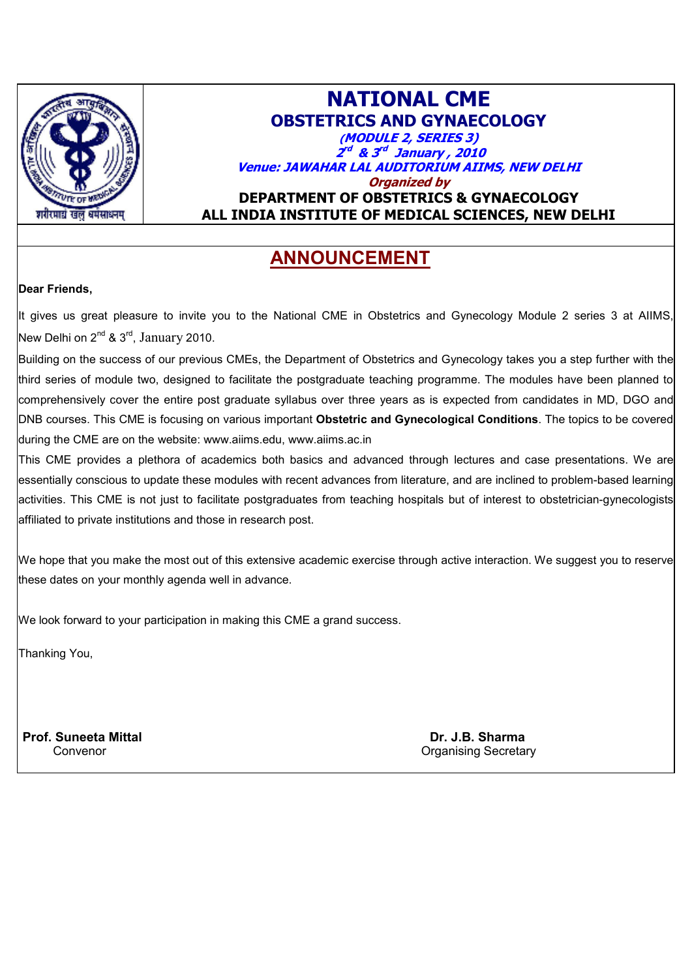

# **NATIONAL CME OBSTETRICS AND GYNAECOLOGY (MODULE 2, SERIES 3) 2 rd & 3 rd January , 2010 Venue: JAWAHAR LAL AUDITORIUM AIIMS, NEW DELHI Organized by DEPARTMENT OF OBSTETRICS & GYNAECOLOGY ALL INDIA INSTITUTE OF MEDICAL SCIENCES, NEW DELHI**

# **ANNOUNCEMENT**

#### **Dear Friends,**

It gives us great pleasure to invite you to the National CME in Obstetrics and Gynecology Module 2 series 3 at AIIMS, New Delhi on  $2^{nd}$  &  $3^{rd}$ , January 2010.

Building on the success of our previous CMEs, the Department of Obstetrics and Gynecology takes you a step further with the third series of module two, designed to facilitate the postgraduate teaching programme. The modules have been planned to comprehensively cover the entire post graduate syllabus over three years as is expected from candidates in MD, DGO and DNB courses. This CME is focusing on various important **Obstetric and Gynecological Conditions**. The topics to be covered during the CME are on the website: www.aiims.edu, www.aiims.ac.in

This CME provides a plethora of academics both basics and advanced through lectures and case presentations. We are essentially conscious to update these modules with recent advances from literature, and are inclined to problem-based learning activities. This CME is not just to facilitate postgraduates from teaching hospitals but of interest to obstetrician-gynecologists affiliated to private institutions and those in research post.

We hope that you make the most out of this extensive academic exercise through active interaction. We suggest you to reserve these dates on your monthly agenda well in advance.

We look forward to your participation in making this CME a grand success.

Thanking You,

**Prof. Suneeta Mittal Dr. J.B. Sharma** 

Convenor Conventries Conventries and Conventries Conventries Conventries Conventries Conventries Conventries Conventries Conventries Conventries Conventries Conventries Conventries Conventries Conventries Conventries Conve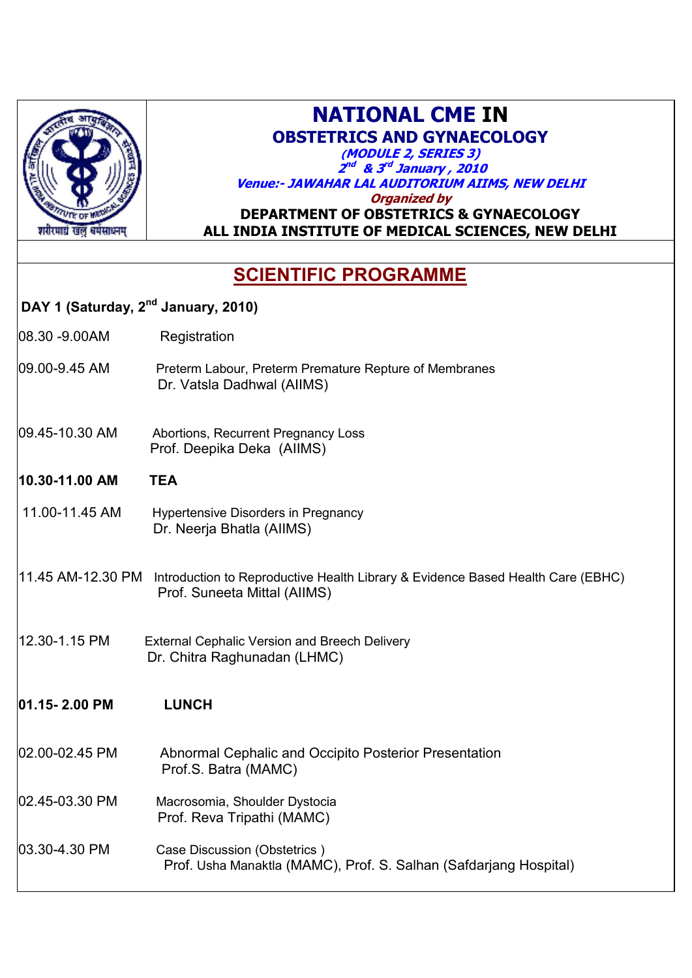

# **NATIONAL CME IN OBSTETRICS AND GYNAECOLOGY**

**(MODULE 2, SERIES 3) 2 nd & 3 rd January , 2010 Venue:- JAWAHAR LAL AUDITORIUM AIIMS, NEW DELHI**

**Organized by** 

# **DEPARTMENT OF OBSTETRICS & GYNAECOLOGY ALL INDIA INSTITUTE OF MEDICAL SCIENCES, NEW DELHI**

# **SCIENTIFIC PROGRAMME**

# **DAY 1 (Saturday, 2nd January, 2010)**

08.30 -9.00AM Registration

- 09.00-9.45 AM Preterm Labour, Preterm Premature Repture of Membranes Dr. Vatsla Dadhwal (AIIMS)
- 09.45-10.30 AM Abortions, Recurrent Pregnancy Loss Prof. Deepika Deka (AIIMS)
- **10.30-11.00 AM TEA**
- 11.00-11.45 AM Hypertensive Disorders in Pregnancy Dr. Neerja Bhatla (AIIMS)

# 11.45 AM-12.30 PM Introduction to Reproductive Health Library & Evidence Based Health Care (EBHC) Prof. Suneeta Mittal (AIIMS)

12.30-1.15 PMExternal Cephalic Version and Breech Delivery Dr. Chitra Raghunadan (LHMC)

# **01.15- 2.00 PM LUNCH**

- 02.00-02.45 PM Abnormal Cephalic and Occipito Posterior Presentation Prof.S. Batra (MAMC)
- 02.45-03.30 PM Macrosomia, Shoulder Dystocia Prof. Reva Tripathi (MAMC)
- 03.30-4.30 PM Case Discussion (Obstetrics ) Prof. Usha Manaktla (MAMC), Prof. S. Salhan (Safdarjang Hospital)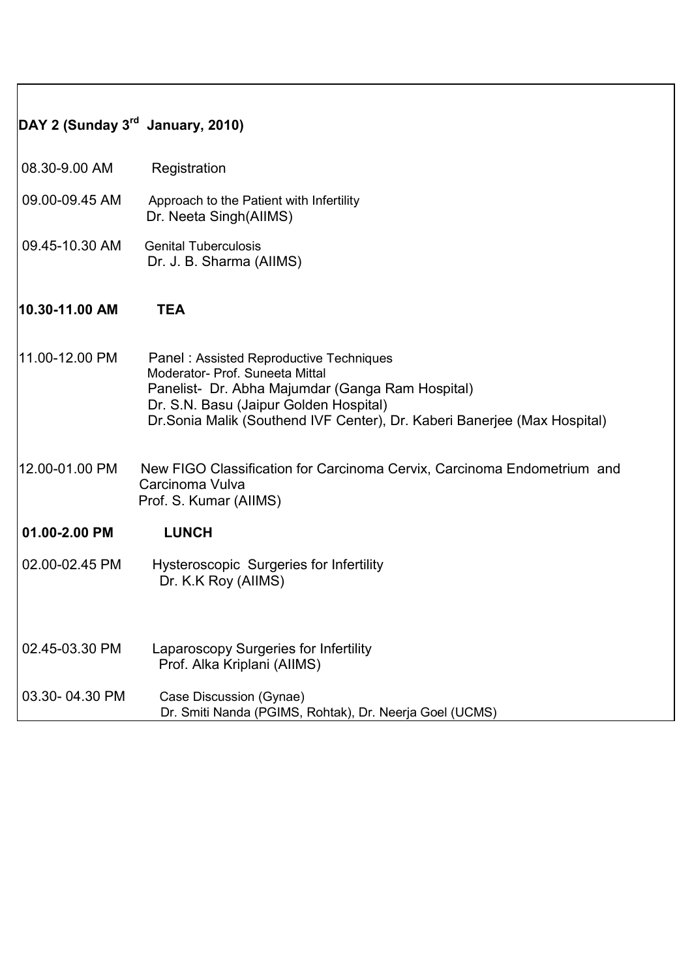| DAY 2 (Sunday $3^{rd}$ January, 2010) |                                                                                                                                                                                                                                                       |
|---------------------------------------|-------------------------------------------------------------------------------------------------------------------------------------------------------------------------------------------------------------------------------------------------------|
| 08.30-9.00 AM                         | Registration                                                                                                                                                                                                                                          |
| 09.00-09.45 AM                        | Approach to the Patient with Infertility<br>Dr. Neeta Singh(AllMS)                                                                                                                                                                                    |
| 09.45-10.30 AM                        | <b>Genital Tuberculosis</b><br>Dr. J. B. Sharma (AllMS)                                                                                                                                                                                               |
| 10.30-11.00 AM                        | <b>TEA</b>                                                                                                                                                                                                                                            |
| 11.00-12.00 PM                        | Panel: Assisted Reproductive Techniques<br>Moderator- Prof. Suneeta Mittal<br>Panelist- Dr. Abha Majumdar (Ganga Ram Hospital)<br>Dr. S.N. Basu (Jaipur Golden Hospital)<br>Dr. Sonia Malik (Southend IVF Center), Dr. Kaberi Banerjee (Max Hospital) |
| 12.00-01.00 PM                        | New FIGO Classification for Carcinoma Cervix, Carcinoma Endometrium and<br>Carcinoma Vulva<br>Prof. S. Kumar (AIIMS)                                                                                                                                  |
| 01.00-2.00 PM                         | <b>LUNCH</b>                                                                                                                                                                                                                                          |
| 02.00-02.45 PM                        | <b>Hysteroscopic Surgeries for Infertility</b><br>Dr. K.K Roy (AllMS)                                                                                                                                                                                 |
| 02.45-03.30 PM                        | Laparoscopy Surgeries for Infertility<br>Prof. Alka Kriplani (AIIMS)                                                                                                                                                                                  |
| 03.30-04.30 PM                        | Case Discussion (Gynae)<br>Dr. Smiti Nanda (PGIMS, Rohtak), Dr. Neerja Goel (UCMS)                                                                                                                                                                    |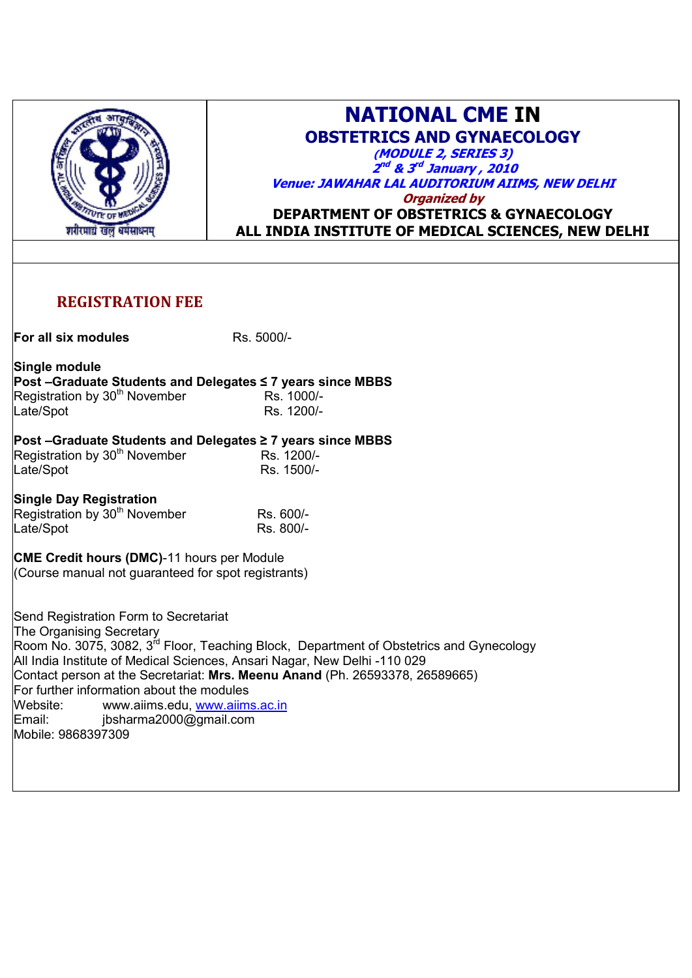

# **NATIONAL CME IN OBSTETRICS AND GYNAECOLOGY**

**(MODULE 2, SERIES 3) 2 nd & 3 rd January , 2010 Venue: JAWAHAR LAL AUDITORIUM AIIMS, NEW DELHI Organized by DEPARTMENT OF OBSTETRICS & GYNAECOLOGY**

**ALL INDIA INSTITUTE OF MEDICAL SCIENCES, NEW DELHI**

# **REGISTRATION FEE**

**For all six modules** Rs. 5000/-

**Single module Post –Graduate Students and Delegates ≤ 7 years since MBBS**

| Registration by 30 <sup>th</sup> November | Rs. 1000/- |
|-------------------------------------------|------------|
| Late/Spot                                 | Rs. 1200/- |

#### **Post –Graduate Students and Delegates ≥ 7 years since MBBS**

| Registration by 30 <sup>th</sup> November | Rs. 1200/- |
|-------------------------------------------|------------|
| Late/Spot                                 | Rs. 1500/- |

**Single Day Registration** 

Registration by 30<sup>th</sup> November **Rs. 600/-**<br>Late/Spot Rs. 800/-Late/Spot

**CME Credit hours (DMC)**-11 hours per Module (Course manual not guaranteed for spot registrants)

Send Registration Form to Secretariat The Organising Secretary Room No. 3075, 3082, 3<sup>rd</sup> Floor, Teaching Block, Department of Obstetrics and Gynecology All India Institute of Medical Sciences, Ansari Nagar, New Delhi -110 029 Contact person at the Secretariat: **Mrs. Meenu Anand** (Ph. 26593378, 26589665) For further information about the modules<br>Website: www.aiims.edu. www.aiim www.aiims.edu, www.aiims.ac.in Email: ibsharma2000@gmail.com Mobile: 9868397309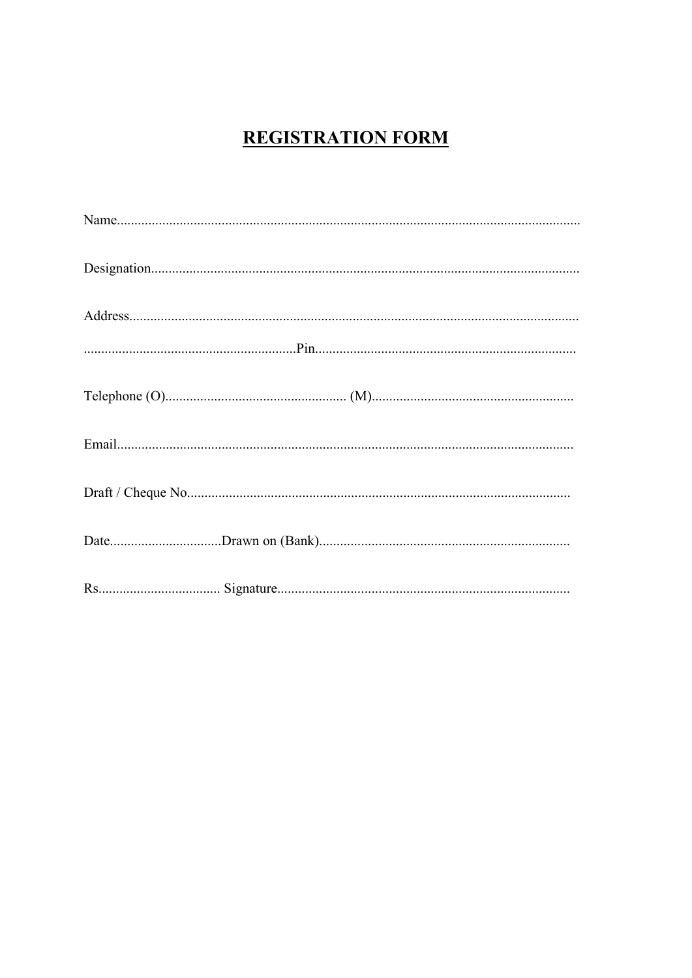# **REGISTRATION FORM**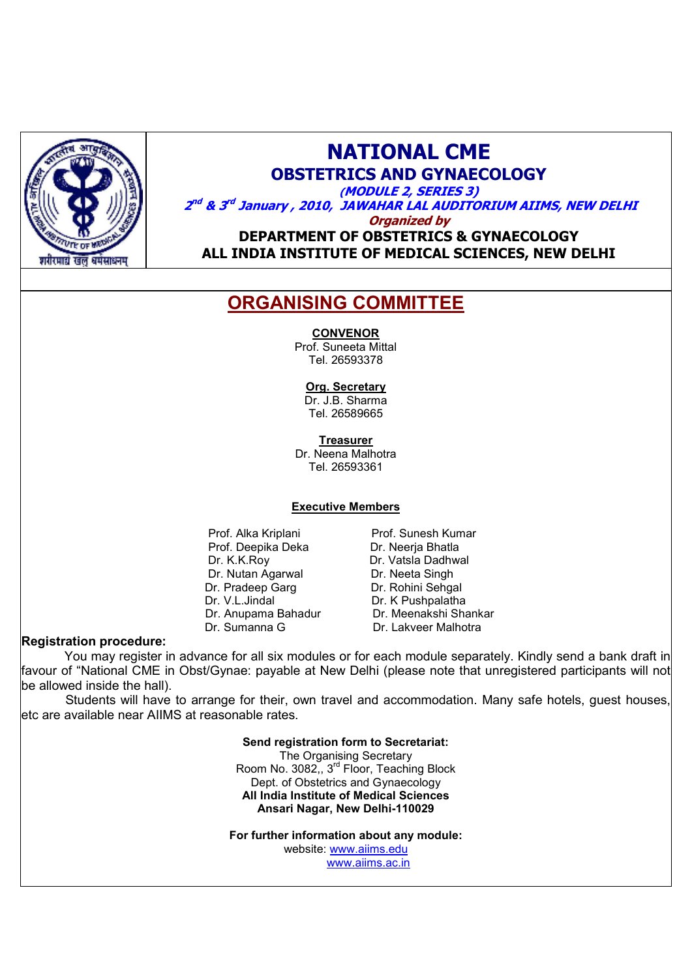

# **NATIONAL CME**

**OBSTETRICS AND GYNAECOLOGY** 

**(MODULE 2, SERIES 3) 2 nd & 3 rd January , 2010, JAWAHAR LAL AUDITORIUM AIIMS, NEW DELHI**

**Organized by** 

**DEPARTMENT OF OBSTETRICS & GYNAECOLOGY ALL INDIA INSTITUTE OF MEDICAL SCIENCES, NEW DELHI**

# **ORGANISING COMMITTEE**

#### **CONVENOR**

Prof. Suneeta Mittal Tel. 26593378

#### **Org. Secretary**

Dr. J.B. Sharma Tel. 26589665

**Treasurer**

Dr. Neena Malhotra Tel. 26593361

#### **Executive Members**

Prof. Alka Kriplani Prof. Sunesh Kumar Prof. Deepika Deka<br>Dr. K.K.Roy Dr. Vatsla Dadhw Dr. Nutan Agarwal Dr. Neeta Singh Dr. Pradeep Garg **Dr. Rohini Sehgal**<br>Dr. V.L.Jindal **Dr. K** Pushpalatha

Dr. Vatsla Dadhwal Dr. K Pushpalatha Dr. Anupama Bahadur Dr. Meenakshi Shankar Dr. Sumanna G Dr. Lakveer Malhotra

#### **Registration procedure:**

 You may register in advance for all six modules or for each module separately. Kindly send a bank draft in favour of "National CME in Obst/Gynae: payable at New Delhi (please note that unregistered participants will not be allowed inside the hall).

 Students will have to arrange for their, own travel and accommodation. Many safe hotels, guest houses, etc are available near AIIMS at reasonable rates.

> **Send registration form to Secretariat:** The Organising Secretary

Room No. 3082,, 3<sup>rd</sup> Floor, Teaching Block Dept. of Obstetrics and Gynaecology **All India Institute of Medical Sciences Ansari Nagar, New Delhi-110029**

**For further information about any module:**

website: www.aiims.edu

www.aiims.ac.in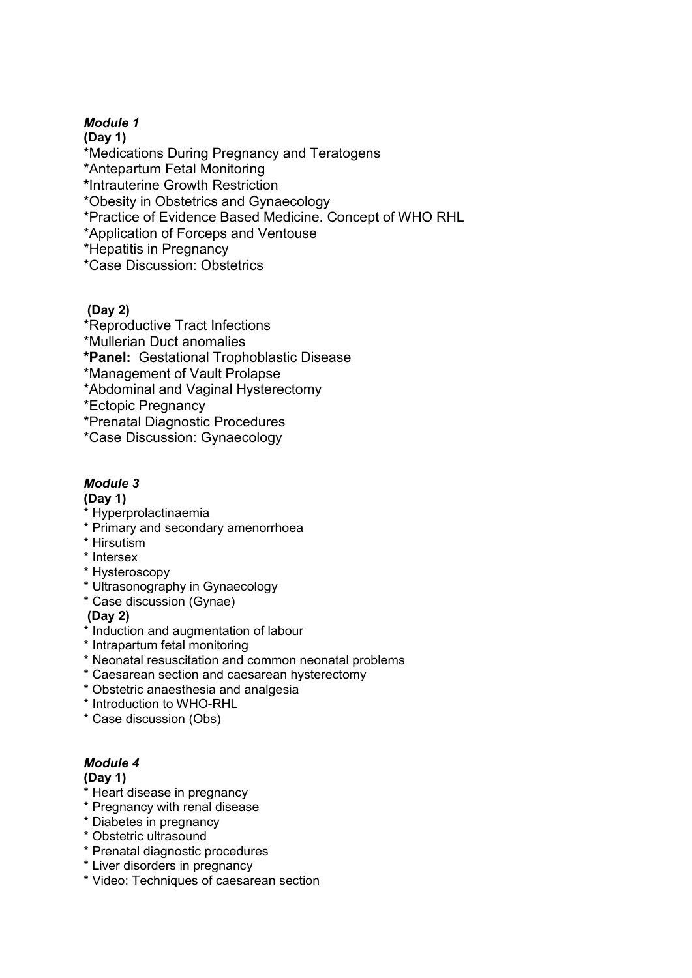### *Module 1*

**(Day 1)**  \*Medications During Pregnancy and Teratogens \*Antepartum Fetal Monitoring **\***Intrauterine Growth Restriction \*Obesity in Obstetrics and Gynaecology \*Practice of Evidence Based Medicine. Concept of WHO RHL \*Application of Forceps and Ventouse \*Hepatitis in Pregnancy \*Case Discussion: Obstetrics

#### **(Day 2)**

\*Reproductive Tract Infections \*Mullerian Duct anomalies **\*Panel:** Gestational Trophoblastic Disease \*Management of Vault Prolapse \*Abdominal and Vaginal Hysterectomy \*Ectopic Pregnancy \*Prenatal Diagnostic Procedures

\*Case Discussion: Gynaecology

# *Module 3*

#### **(Day 1)**

- \* Hyperprolactinaemia
- \* Primary and secondary amenorrhoea
- \* Hirsutism
- \* Intersex
- \* Hysteroscopy
- \* Ultrasonography in Gynaecology
- \* Case discussion (Gynae)

#### **(Day 2)**

- \* Induction and augmentation of labour
- \* Intrapartum fetal monitoring
- \* Neonatal resuscitation and common neonatal problems
- \* Caesarean section and caesarean hysterectomy
- \* Obstetric anaesthesia and analgesia
- \* Introduction to WHO-RHL
- \* Case discussion (Obs)

# *Module 4*

#### **(Day 1)**

- \* Heart disease in pregnancy
- \* Pregnancy with renal disease
- \* Diabetes in pregnancy
- \* Obstetric ultrasound
- \* Prenatal diagnostic procedures
- \* Liver disorders in pregnancy
- \* Video: Techniques of caesarean section